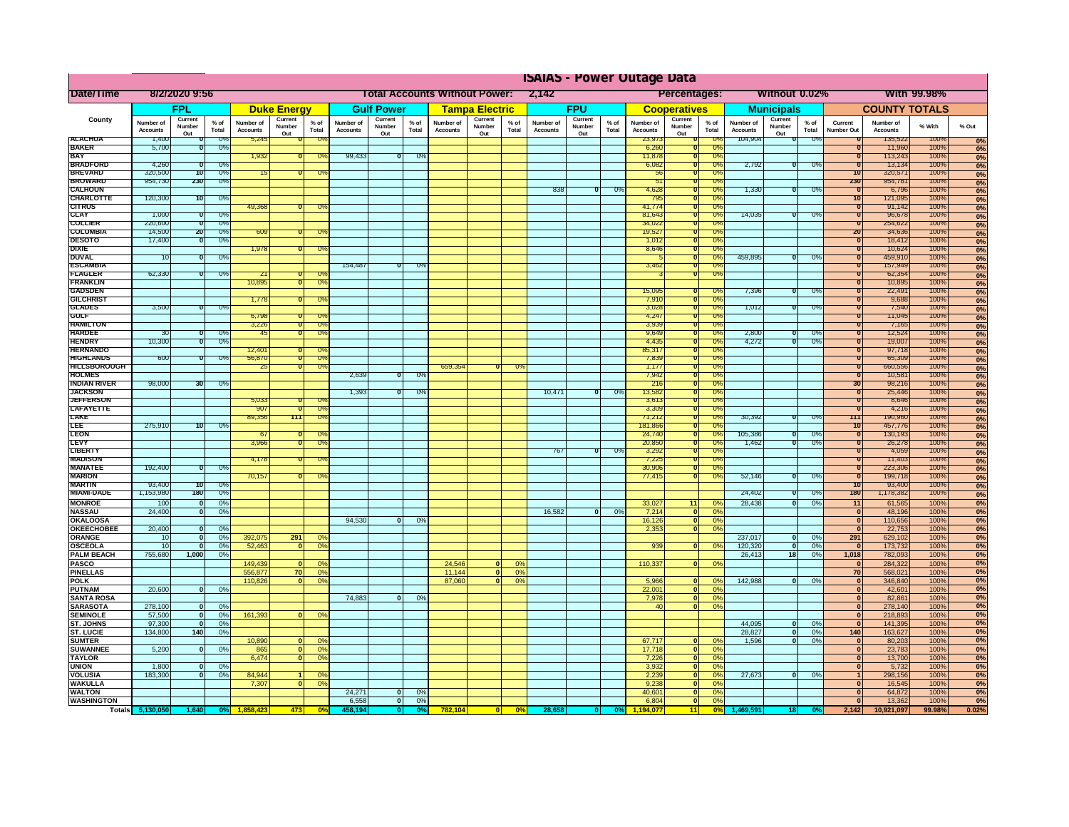|                                       | <b>ISAIAS - Power Outage Data</b> |                              |                    |                              |                                |                                               |                              |                   |                |                                                     |                                                    |               |                              |                   |                      |                              |                              |                      |                              |                              |                 |                                  |                              |                |                   |
|---------------------------------------|-----------------------------------|------------------------------|--------------------|------------------------------|--------------------------------|-----------------------------------------------|------------------------------|-------------------|----------------|-----------------------------------------------------|----------------------------------------------------|---------------|------------------------------|-------------------|----------------------|------------------------------|------------------------------|----------------------|------------------------------|------------------------------|-----------------|----------------------------------|------------------------------|----------------|-------------------|
| Date/Time                             | 8/2/2020 9:56                     |                              |                    |                              |                                | <b>Total Accounts Without Power:</b><br>2,142 |                              |                   |                | <b>Percentages:</b><br>Without 0.02%<br>With 99.98% |                                                    |               |                              |                   |                      |                              |                              |                      |                              |                              |                 |                                  |                              |                |                   |
|                                       | FPL                               |                              | <b>Duke Energy</b> |                              | <b>Gulf Power</b>              |                                               | <b>Tampa Electric</b>        |                   | <b>FPU</b>     |                                                     | <b>Cooperatives</b>                                |               | <b>Municipals</b>            |                   | <b>COUNTY TOTALS</b> |                              |                              |                      |                              |                              |                 |                                  |                              |                |                   |
| County                                | Number of<br><b>Accounts</b>      | Current<br>Number            | $%$ of<br>Total    | Number of<br><b>Accounts</b> | Current<br>Number              | % of<br>Total                                 | Number of<br><b>Accounts</b> | Current<br>Number | % of<br>Total  | Number of<br><b>Accounts</b>                        | Current<br>Number                                  | % of<br>Total | Number of<br><b>Accounts</b> | Current<br>Number | % of<br>Total        | Number of<br><b>Accounts</b> | Current<br>Number            | $%$ of<br>Total      | Number of<br><b>Accounts</b> | Current<br>Number            | $%$ of<br>Total | Current<br>Number Out            | Number of<br><b>Accounts</b> | % With         | % Out             |
| <b>ALACHUA</b>                        | 1,400                             | Out                          | -0%                | 5,245                        | Out                            | -09                                           |                              | Out               |                |                                                     | Out                                                |               |                              | Out               |                      | 23,973                       | <u>Out</u>                   | <b>0%</b>            | 104,904                      | Out                          | $0\%$           |                                  | 135,522                      | 100%           | 0%                |
| <b>BAKER</b><br><b>BAY</b>            | 5,700                             |                              | - 0%               | 1,932                        |                                | -Oʻ                                           | 99,433                       | σ                 | -0%            |                                                     |                                                    |               |                              |                   |                      | 6,260<br>11,878              |                              | -0%<br>0%            |                              |                              |                 |                                  | 11,960<br>113,243            | 100%<br>100%   | 0%<br>0%          |
| <b>BRADFORD</b>                       | 4,260                             |                              | U,                 |                              |                                |                                               |                              |                   |                |                                                     |                                                    |               |                              |                   |                      | 6,082                        |                              | 0%                   | 2,792                        | π                            | ారా             |                                  | 13,134                       | 100%           | 0%                |
| <b>BREVARD</b><br><b>BROWARD</b>      | 320,500<br>954,730                | 70<br>230                    | $0\%$<br>0%        | 15                           |                                | -Oʻ                                           |                              |                   |                |                                                     |                                                    |               |                              |                   |                      | 56<br>$\overline{5}$         |                              | 0%<br>0%             |                              |                              |                 | $\overline{10}$<br>230           | 320,571<br>954,781           | 100%<br>100%   | 0%                |
| <b><i>CALHOUN</i></b>                 |                                   |                              |                    |                              |                                |                                               |                              |                   |                |                                                     |                                                    |               | 838                          |                   | $\mathbb{U}^{\circ}$ | 4,628                        |                              | $\overline{U}$       | 1,330                        | $\overline{0}$               | U''             |                                  | 6,796                        | 100%           | 0%<br>0%          |
| <b>CHARLOTTE</b><br><b>CITRUS</b>     | 120,300                           | 70                           | 0%                 | 49,368                       |                                |                                               |                              |                   |                |                                                     |                                                    |               |                              |                   |                      | 795<br>41.774                |                              | 0%<br>0%             |                              |                              |                 | 10<br>τ                          | 121,095<br>91,142            | 100%<br>100%   | 0%                |
| <b>CLAY</b>                           | 1,000                             |                              | U                  |                              |                                |                                               |                              |                   |                |                                                     |                                                    |               |                              |                   |                      | 81,643                       |                              | $U$ %                | 14,035                       |                              | U'              | $\overline{u}$                   | 96,678                       | 100%           | 0%<br>0%          |
| <b>COLLIER</b><br><b>COLUMBIA</b>     | 220,600<br>14,500                 | 20                           | 0%<br>0%           | 609                          |                                | ᠊ᢆᠭ                                           |                              |                   |                |                                                     |                                                    |               |                              |                   |                      | 34,022<br>19,527             | $\overline{0}$<br>π          | 0%<br>0%             |                              |                              |                 | $\overline{0}$<br>20             | 254,622<br>34,636            | 100%<br>100%   | 0%                |
| <b>DESOTO</b>                         | 17,400                            |                              | 0%                 |                              |                                |                                               |                              |                   |                |                                                     |                                                    |               |                              |                   |                      | 1,012                        |                              | 0%                   |                              |                              |                 | 70                               | 18,412                       | 100%           | 0%<br>0%          |
| DIXIE                                 |                                   |                              |                    | 1.978                        |                                |                                               |                              |                   |                |                                                     |                                                    |               |                              |                   |                      | 8,646                        | 70                           | 0%                   |                              |                              |                 | $\overline{0}$                   | 10,624                       | 100%           | 0%                |
| <b>DUVAL</b><br><b>ESCAMBI</b>        | 10                                |                              | 0%                 |                              |                                |                                               | 154,487                      | π                 | -0             |                                                     |                                                    |               |                              |                   |                      | 3,462                        |                              | 0%<br>-0%            | 459.895                      | ถ                            | -0%             | τ<br>τ                           | 459,910<br>157,949           | 100%<br>100%   | 0%                |
| <b>FLAGLER</b>                        | 62,330                            |                              | 0%                 | -21                          |                                |                                               |                              |                   |                |                                                     |                                                    |               |                              |                   |                      |                              |                              | 0%                   |                              |                              |                 | τ                                | 62,354                       | 100%           | 0%<br>0%          |
| <b>FRANKLIN</b><br><b>GADSDEN</b>     |                                   |                              |                    | 10,895                       | π                              | ᠊ᠠ                                            |                              |                   |                |                                                     |                                                    |               |                              |                   |                      |                              |                              |                      |                              |                              |                 | п                                | 10,895                       | 100%           | 0%                |
| <b>GILCHRIS</b>                       |                                   |                              |                    | 1,778                        |                                | ᠊ᢆ᠓                                           |                              |                   |                |                                                     |                                                    |               |                              |                   |                      | 15,095<br>7,910              |                              | -0%<br>0%            | 7,396                        | 0                            | -0%             | n<br>π                           | 22,491<br>9,688              | 100%<br>100%   | 0%<br>0%          |
| <b>GLADES</b>                         | 3,500                             |                              | $\overline{U}$     |                              |                                |                                               |                              |                   |                |                                                     |                                                    |               |                              |                   |                      | 3,028                        |                              | $\overline{U\%}$     | 1,012                        |                              | $\overline{U}$  |                                  | 7,540                        | 100%           | 0%                |
| <b>GULF</b><br><b>HAMILTON</b>        |                                   |                              |                    | 6,798<br>3,226               | 0                              | $\overline{0}$                                |                              |                   |                |                                                     |                                                    |               |                              |                   |                      | 4,24<br>3,939                |                              | 0%<br>0%             |                              |                              |                 | 0<br>0                           | 11,045<br>7,165              | 100%<br>100%   | 0%                |
| <b>HARDEE</b>                         | 30                                |                              | 0%                 | 45                           |                                | $\overline{0}$                                |                              |                   |                |                                                     |                                                    |               |                              |                   |                      | 9,649                        |                              | 0%                   | 2,800                        |                              | 0%              | τ                                | 12,524                       | 100%           | 0%<br>0%          |
| <b>HENDRY</b>                         | 10,300                            |                              | 0%                 |                              |                                |                                               |                              |                   |                |                                                     |                                                    |               |                              |                   |                      | 4,435                        |                              | $\overline{0}$       | 4,272                        |                              | 0%              | 0                                | 19,007                       | 100%           | 0%                |
| <b>HERNANDO</b><br><b>HIGHLANDS</b>   | 600                               |                              | 0%                 | 12,401<br>56,870             | σ                              | -0%                                           |                              |                   |                |                                                     |                                                    |               |                              |                   |                      | 85,317<br>7,839              |                              | $\overline{0}$<br>0% |                              |                              |                 | 0<br>τ                           | 97,718<br>65,309             | 100%<br>100%   | 0%                |
| <b>HILLSBOROUGH</b>                   |                                   |                              |                    | -25                          |                                | -0%                                           |                              |                   |                | 659,354                                             |                                                    |               |                              |                   |                      | 1,17                         |                              | 0%                   |                              |                              |                 | τ                                | 660,556                      | 100%           | 0%<br>0%          |
| <b>HOLMES</b>                         | 98,000                            | 30                           |                    |                              |                                |                                               | 2,639                        | π                 | - UY           |                                                     |                                                    |               |                              |                   |                      | 7,942<br>216                 |                              | $U\%$<br>0%          |                              |                              |                 |                                  | 10,581                       | 100%           | 0%                |
| <b>INDIAN RIVER</b><br><b>JACKSON</b> |                                   |                              | 0%                 |                              |                                |                                               | 1,393                        | σ                 | $0\%$          |                                                     |                                                    |               | 10,471                       | ण                 | -0%                  | 13,582                       |                              | 0%                   |                              |                              |                 | 30<br>0                          | 98,216<br>25,446             | 100%<br>100%   | 0%<br>0%          |
| <b>JEFFERSON</b>                      |                                   |                              |                    | 5,033                        |                                |                                               |                              |                   |                |                                                     |                                                    |               |                              |                   |                      | 3,61                         |                              | $U\%$                |                              |                              |                 | π                                | 8,646                        | 100%           | 0%                |
| <b>LAFAYETTE</b><br><b>LAKE</b>       |                                   |                              |                    | 907<br>89,356                | n<br>111                       | $\overline{0}$<br>Ō.                          |                              |                   |                |                                                     |                                                    |               |                              |                   |                      | 3,309<br>71,212              |                              | 0%<br>0%             | 30,392                       | ō                            | 0%              | n<br>111                         | 4,216<br>190,960             | 100%<br>100%   | 0%                |
| ᄩ                                     | 275,910                           | $\overline{10}$              | $\overline{U}$     |                              |                                |                                               |                              |                   |                |                                                     |                                                    |               |                              |                   |                      | 181,866                      |                              | $\overline{U}$       |                              |                              |                 | $\overline{10}$                  | 451, 176                     | 100%           | 0%                |
| <b>LEON</b>                           |                                   |                              |                    | -67                          |                                |                                               |                              |                   |                |                                                     |                                                    |               |                              |                   |                      | 24,740                       |                              | 0%                   | 105,386                      | O                            | - 03            | τ                                | 130,193                      | 100%           | $\frac{0\%}{0\%}$ |
| <b>LEVY</b><br><b>LIBERTY</b>         |                                   |                              |                    | 3,966                        | $\overline{0}$                 | $\overline{0}$                                |                              |                   |                |                                                     |                                                    |               | 767                          | ᠊ᢐ                | -0%                  | 20,850<br>3,292              |                              | 0%<br>0%             | 1,462                        | $\overline{0}$               | 0%              | $\overline{0}$<br>$\overline{0}$ | 26,278<br>4,059              | 100%<br>100%   | 0%                |
| <b>MADISON</b>                        |                                   |                              |                    | 4,178                        |                                |                                               |                              |                   |                |                                                     |                                                    |               |                              |                   |                      | 7,225                        |                              | 0%                   |                              |                              |                 | $\overline{0}$                   | 11,403                       | 100%           | 0%<br>0%          |
| <b>MANATEE</b><br>MARION              | 192,400                           |                              | 0%                 | 70,157                       |                                |                                               |                              |                   |                |                                                     |                                                    |               |                              |                   |                      | 30,90<br>77,415              |                              | 0%<br>0%             | 52,146                       | 70                           | -0%             | $\overline{0}$<br>τ              | 223,306<br>199,718           | 100%<br>100%   | 0%                |
| <b>MARTIN</b>                         | 93,400                            | 70                           | 0                  |                              |                                |                                               |                              |                   |                |                                                     |                                                    |               |                              |                   |                      |                              |                              |                      |                              |                              |                 | 10                               | 93,400                       | 100%           | 0%<br>0%          |
| <b>MIAMI-DADE</b>                     | 1,153,980                         | 180                          | <b>U</b> %         |                              |                                |                                               |                              |                   |                |                                                     |                                                    |               |                              |                   |                      |                              |                              |                      | 24,402                       | π                            | U۳              | 180                              | 1,178,382                    | 100%           | 0%                |
| <b>MONROE</b>                         | 100<br>24,400                     | $\Omega$<br>ol               | 0 <sup>9</sup>     |                              |                                |                                               |                              |                   |                |                                                     |                                                    |               | 16.582                       | $\overline{0}$    | 0%                   | 33,027                       | 11                           | 0%<br>0%             | 28,438                       | $\mathbf{0}$                 | 0%              | 11                               | 61,565                       | 100%           | 0%                |
| <b>NASSAU</b><br><b>OKALOOSA</b>      |                                   |                              | 0%                 |                              |                                |                                               | 94.530                       | $\mathbf{0}$      | 0%             |                                                     |                                                    |               |                              |                   |                      | 7,214<br>16,126              | $\bullet$<br> 0              | 0%                   |                              |                              |                 | $\mathbf 0$<br>$\mathbf{0}$      | 48,196<br>110,656            | 100%<br>100%   | 0%<br>0%          |
| <b>OKEECHOBEE</b>                     | 20,400                            | $\mathbf{0}$                 | 0%                 |                              |                                |                                               |                              |                   |                |                                                     |                                                    |               |                              |                   |                      | 2,353                        | $\overline{0}$               | 0%                   |                              |                              |                 | $\mathbf{0}$                     | 22,753                       | 100%           | 0%                |
| ORANGE<br>OSCEOLA                     | 10<br>10                          | $\mathbf{0}$<br>$\mathbf{0}$ | 0%<br>0%           | 392.075<br>52,463            | 291<br> 0                      | 0 <sup>9</sup><br>0 <sup>9</sup>              |                              |                   |                |                                                     |                                                    |               |                              |                   |                      | 939                          | ol                           | 0%                   | 237,017<br>120,320           | $\mathbf{0}$<br>$\mathbf{0}$ | 0%<br>0%        | 291<br>$\mathbf{0}$              | 629,102<br>173,732           | 100%<br>100%   | 0%<br>0%          |
| <b>PALM BEACH</b>                     | 755,680                           | 1,000                        | 0 <sup>9</sup>     |                              |                                |                                               |                              |                   |                |                                                     |                                                    |               |                              |                   |                      |                              |                              |                      | 26,413                       | 18                           | 0%              | 1,018                            | 782,093                      | 100%           | 0%                |
| <b>PASCO</b>                          |                                   |                              |                    | 149,439                      | 0                              | 0 <sup>o</sup>                                |                              |                   |                | 24,546                                              | 0                                                  | 0%            |                              |                   |                      | 110,337                      | 0                            | 0%                   |                              |                              |                 | $\mathbf{0}$                     | 284,322                      | 100%           | 0%                |
| <b>PINELLAS</b><br><b>POLK</b>        |                                   |                              |                    | 556,877<br>110,826           | 70<br> 0                       | 0 <sup>9</sup><br>0 <sup>9</sup>              |                              |                   |                | 11,144<br>87,060                                    | $\overline{\mathbf{0}}$<br>$\overline{\mathbf{0}}$ | 0%<br>0%      |                              |                   |                      | 5,966                        | 0                            | 0%                   | 142,988                      | $\overline{\mathbf{0}}$      | 0%              | 70<br>$\mathbf{0}$               | 568,021<br>346,840           | 100%<br>100%   | 0%<br>0%          |
| <b>PUTNAM</b>                         | 20,600                            | 0                            | 0%                 |                              |                                |                                               |                              |                   |                |                                                     |                                                    |               |                              |                   |                      | 22,001                       | $\overline{\phantom{a}}$     | 0%                   |                              |                              |                 | $\overline{\mathbf{0}}$          | 42,601                       | 100%           | 0%                |
| <b>SANTA ROSA</b>                     |                                   |                              |                    |                              |                                |                                               | 74,883                       | 0                 | 0%             |                                                     |                                                    |               |                              |                   |                      | 7,978                        | $\bullet$                    | 0%                   |                              |                              |                 | $\overline{\mathbf{0}}$          | 82,861                       | 100%           | 0%                |
| <b>SARASOTA</b><br><b>SEMINOLE</b>    | 278,100<br>57,500                 | $\mathbf{0}$<br>$\mathbf{0}$ | 0%<br>0%           | 161,393                      | $\mathbf{0}$                   | 0 <sup>9</sup>                                |                              |                   |                |                                                     |                                                    |               |                              |                   |                      | 40                           | $\mathbf{0}$                 | 0%                   |                              |                              |                 | $\mathbf{0}$<br>$\bf{0}$         | 278,140<br>218,893           | 100%<br>100%   | 0%<br>0%          |
| ST. JOHNS                             | 97,300                            | $\mathbf{0}$                 | 0 <sup>9</sup>     |                              |                                |                                               |                              |                   |                |                                                     |                                                    |               |                              |                   |                      |                              |                              |                      | 44,095                       | $\mathbf{0}$                 | 0%              | $\bf{0}$                         | 141,395                      | 100%           | 0%                |
| <b>ST. LUCIE</b>                      | 134,800                           | 140                          | 0%                 |                              |                                |                                               |                              |                   |                |                                                     |                                                    |               |                              |                   |                      |                              |                              |                      | 28,827                       | $\mathbf{0}$                 | 0%              | 140                              | 163,627                      | 100%           | 0%                |
| <b>SUMTER</b><br><b>SUWANNEE</b>      | 5,200                             | $\Omega$                     | 0 <sup>9</sup>     | 10,890<br>865                | 0 <br>$\overline{\mathbf{0}}$  | 0 <sup>9</sup><br>0 <sup>9</sup>              |                              |                   |                |                                                     |                                                    |               |                              |                   |                      | 67,717<br>17,718             | $\mathbf{0}$<br>$\mathbf{0}$ | 0%<br>0%             | 1.596                        | $\Omega$                     | 0%              | $\mathbf{0}$<br>$\mathbf{0}$     | 80,203<br>23,783             | 100%<br>100%   | 0%<br>0%          |
| <b>TAYLOR</b>                         |                                   |                              |                    | 6,474                        | $\overline{0}$                 | 0 <sup>9</sup>                                |                              |                   |                |                                                     |                                                    |               |                              |                   |                      | 7,226                        | 0                            | 0%                   |                              |                              |                 | $\mathbf{0}$                     | 13,700                       | 100%           | 0%                |
| <b>UNION</b>                          | 1,800<br>183,300                  | n                            | 0%<br>0%           | 84.944                       |                                |                                               |                              |                   |                |                                                     |                                                    |               |                              |                   |                      | 3,932                        | $\mathbf{0}$                 | 0%                   |                              | 0                            | 0%              | $\mathbf{0}$<br>$\mathbf{1}$     | 5,732                        | 100%           | 0%                |
| <b>VOLUSIA</b><br><b>WAKULLA</b>      |                                   |                              |                    | 7.307                        | $\mathbf{1}$<br>$\overline{0}$ | 0 <sup>9</sup><br>0 <sup>9</sup>              |                              |                   |                |                                                     |                                                    |               |                              |                   |                      | 2,239<br>9,238               | ol<br>$\mathbf{0}$           | 0%<br>0%             | 27,673                       |                              |                 | $\mathbf{0}$                     | 298,156<br>16,545            | 100%<br>100%   | 0%<br>0%          |
| <b>WALTON</b>                         |                                   |                              |                    |                              |                                |                                               | 24,271                       | 0                 | 0%             |                                                     |                                                    |               |                              |                   |                      | 40,601                       | $\mathbf{0}$                 | 0%                   |                              |                              |                 | $\mathbf{0}$                     | 64,872                       | 100%           | 0%                |
| <b>WASHINGTON</b>                     | Totals 5,130,050                  | 1,640                        |                    | 1858 423                     | 473                            | 0%                                            | 6,558<br>458.194             | 0 <br> 0          | 0%             | 782,104                                             | 0                                                  | 0%            | 28,658                       |                   |                      | 6,804<br>1.194.077           | $\overline{0}$<br>11         | 0%<br>0%             | 1.469.591                    | 18                           |                 | $\mathbf{0}$<br>2,142            | 13,362<br>10,921,097         | 100%<br>99.98% | 0%<br>0.02%       |
|                                       |                                   |                              | 0%                 |                              |                                |                                               |                              |                   | 0 <sup>o</sup> |                                                     |                                                    |               |                              | 0                 |                      |                              |                              |                      |                              |                              |                 |                                  |                              |                |                   |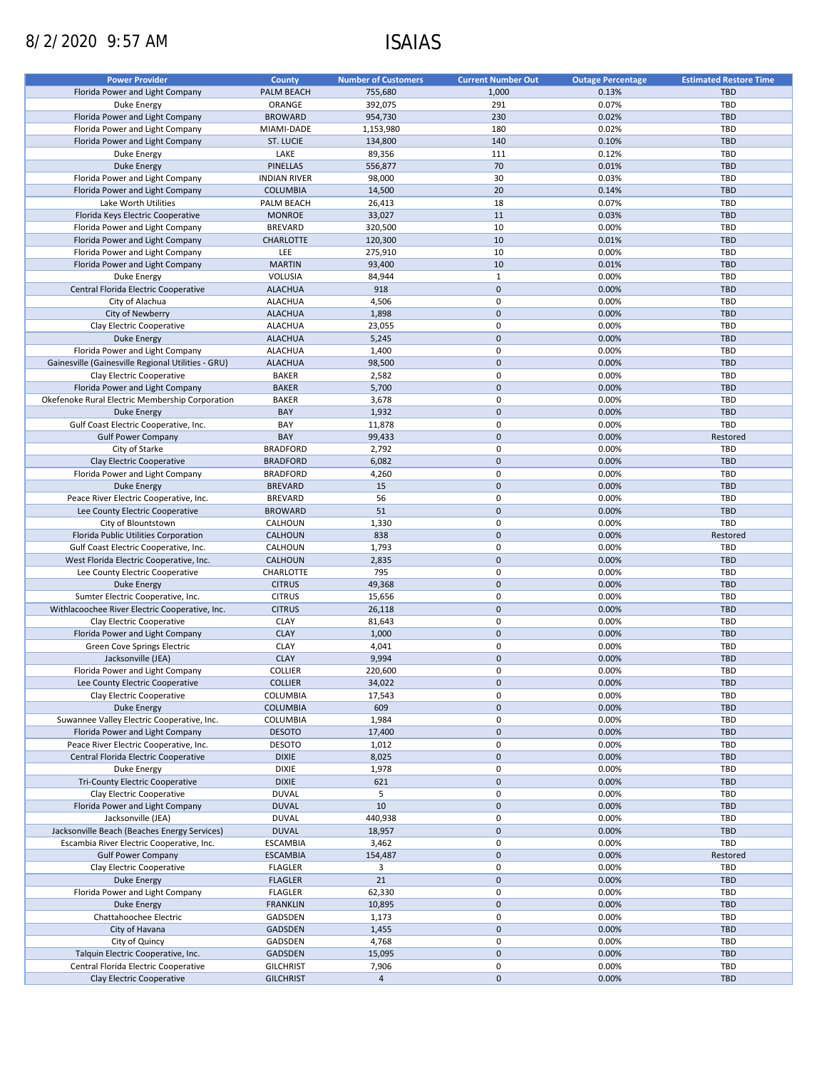# 8/2/2020 9:57 AM ISAIAS

| <b>Power Provider</b>                              | <b>County</b>       | <b>Number of Customers</b> | <b>Current Number Out</b> | <b>Outage Percentage</b> | <b>Estimated Restore Time</b> |
|----------------------------------------------------|---------------------|----------------------------|---------------------------|--------------------------|-------------------------------|
| Florida Power and Light Company                    | PALM BEACH          | 755,680                    | 1,000                     | 0.13%                    | <b>TBD</b>                    |
| Duke Energy                                        | ORANGE              | 392,075                    | 291                       | 0.07%                    | <b>TBD</b>                    |
| Florida Power and Light Company                    | <b>BROWARD</b>      | 954,730                    | 230                       | 0.02%                    | <b>TBD</b>                    |
| Florida Power and Light Company                    | MIAMI-DADE          | 1,153,980                  | 180                       | 0.02%                    | <b>TBD</b>                    |
| Florida Power and Light Company                    | <b>ST. LUCIE</b>    | 134,800                    | 140                       | 0.10%                    | <b>TBD</b>                    |
| Duke Energy                                        | LAKE                | 89,356                     | 111                       | 0.12%                    | <b>TBD</b>                    |
| <b>Duke Energy</b>                                 | <b>PINELLAS</b>     | 556,877                    | 70                        | 0.01%                    | <b>TBD</b>                    |
| Florida Power and Light Company                    | <b>INDIAN RIVER</b> | 98,000                     | 30                        | 0.03%                    | <b>TBD</b>                    |
| Florida Power and Light Company                    | <b>COLUMBIA</b>     | 14,500                     | 20                        | 0.14%                    | <b>TBD</b>                    |
| Lake Worth Utilities                               | PALM BEACH          | 26,413                     | 18                        | 0.07%                    | <b>TBD</b>                    |
| Florida Keys Electric Cooperative                  | <b>MONROE</b>       | 33,027                     | 11                        | 0.03%                    | <b>TBD</b>                    |
|                                                    |                     |                            | 10                        | 0.00%                    | <b>TBD</b>                    |
| Florida Power and Light Company                    | <b>BREVARD</b>      | 320,500                    | 10                        |                          |                               |
| Florida Power and Light Company                    | <b>CHARLOTTE</b>    | 120,300                    |                           | 0.01%                    | <b>TBD</b>                    |
| Florida Power and Light Company                    | LEE                 | 275,910                    | 10                        | 0.00%                    | <b>TBD</b>                    |
| Florida Power and Light Company                    | <b>MARTIN</b>       | 93,400                     | 10                        | 0.01%                    | <b>TBD</b>                    |
| <b>Duke Energy</b>                                 | <b>VOLUSIA</b>      | 84,944                     | $\mathbf{1}$              | 0.00%                    | <b>TBD</b>                    |
| Central Florida Electric Cooperative               | <b>ALACHUA</b>      | 918                        | $\mathbf 0$               | 0.00%                    | <b>TBD</b>                    |
| City of Alachua                                    | <b>ALACHUA</b>      | 4,506                      | 0                         | 0.00%                    | <b>TBD</b>                    |
| City of Newberry                                   | <b>ALACHUA</b>      | 1,898                      | $\mathbf 0$               | 0.00%                    | <b>TBD</b>                    |
| Clay Electric Cooperative                          | <b>ALACHUA</b>      | 23,055                     | 0                         | 0.00%                    | <b>TBD</b>                    |
| <b>Duke Energy</b>                                 | <b>ALACHUA</b>      | 5,245                      | $\mathbf{0}$              | 0.00%                    | <b>TBD</b>                    |
| Florida Power and Light Company                    | <b>ALACHUA</b>      | 1,400                      | $\mathbf 0$               | 0.00%                    | <b>TBD</b>                    |
| Gainesville (Gainesville Regional Utilities - GRU) | <b>ALACHUA</b>      | 98,500                     | $\mathbf 0$               | 0.00%                    | <b>TBD</b>                    |
| Clay Electric Cooperative                          | <b>BAKER</b>        | 2,582                      | 0                         | 0.00%                    | <b>TBD</b>                    |
| Florida Power and Light Company                    | <b>BAKER</b>        | 5,700                      | $\mathbf 0$               | 0.00%                    | <b>TBD</b>                    |
| Okefenoke Rural Electric Membership Corporation    | <b>BAKER</b>        | 3,678                      | 0                         | 0.00%                    | <b>TBD</b>                    |
| <b>Duke Energy</b>                                 | BAY                 | 1,932                      | $\mathbf 0$               | 0.00%                    | <b>TBD</b>                    |
| Gulf Coast Electric Cooperative, Inc.              | BAY                 | 11,878                     | 0                         | 0.00%                    | <b>TBD</b>                    |
| <b>Gulf Power Company</b>                          | BAY                 | 99,433                     | $\mathbf 0$               | 0.00%                    | Restored                      |
| City of Starke                                     | <b>BRADFORD</b>     | 2,792                      | 0                         | 0.00%                    | <b>TBD</b>                    |
| Clay Electric Cooperative                          | <b>BRADFORD</b>     | 6,082                      | $\mathbf 0$               | 0.00%                    | <b>TBD</b>                    |
| Florida Power and Light Company                    | <b>BRADFORD</b>     | 4,260                      | $\mathbf 0$               | 0.00%                    | <b>TBD</b>                    |
| <b>Duke Energy</b>                                 | <b>BREVARD</b>      | 15                         | $\mathbf 0$               | 0.00%                    | <b>TBD</b>                    |
| Peace River Electric Cooperative, Inc.             | <b>BREVARD</b>      | 56                         | 0                         | 0.00%                    | TBD                           |
| Lee County Electric Cooperative                    | <b>BROWARD</b>      | 51                         | $\mathbf 0$               | 0.00%                    | <b>TBD</b>                    |
| City of Blountstown                                | CALHOUN             | 1,330                      | 0                         | 0.00%                    | <b>TBD</b>                    |
| Florida Public Utilities Corporation               | CALHOUN             | 838                        | $\mathbf 0$               | 0.00%                    | Restored                      |
| Gulf Coast Electric Cooperative, Inc.              | CALHOUN             | 1,793                      | 0                         | 0.00%                    | TBD                           |
| West Florida Electric Cooperative, Inc.            | <b>CALHOUN</b>      | 2,835                      | $\mathbf 0$               | 0.00%                    | <b>TBD</b>                    |
|                                                    | CHARLOTTE           | 795                        | 0                         | 0.00%                    | TBD                           |
| Lee County Electric Cooperative                    |                     |                            | $\mathbf 0$               |                          |                               |
| <b>Duke Energy</b>                                 | <b>CITRUS</b>       | 49,368                     |                           | 0.00%                    | <b>TBD</b>                    |
| Sumter Electric Cooperative, Inc.                  | <b>CITRUS</b>       | 15,656                     | 0                         | 0.00%                    | <b>TBD</b>                    |
| Withlacoochee River Electric Cooperative, Inc.     | <b>CITRUS</b>       | 26,118                     | $\mathbf 0$               | 0.00%                    | <b>TBD</b>                    |
| Clay Electric Cooperative                          | <b>CLAY</b>         | 81,643                     | $\pmb{0}$                 | 0.00%                    | <b>TBD</b>                    |
| Florida Power and Light Company                    | <b>CLAY</b>         | 1,000                      | $\mathbf 0$               | 0.00%                    | <b>TBD</b>                    |
| Green Cove Springs Electric                        | <b>CLAY</b>         | 4,041                      | $\pmb{0}$                 | 0.00%                    | TBD                           |
| Jacksonville (JEA)                                 | <b>CLAY</b>         | 9,994                      | $\pmb{0}$                 | 0.00%                    | <b>TBD</b>                    |
| Florida Power and Light Company                    | COLLIER             | 220,600                    | $\pmb{0}$                 | 0.00%                    | <b>TBD</b>                    |
| Lee County Electric Cooperative                    | <b>COLLIER</b>      | 34,022                     | $\mathbf 0$               | 0.00%                    | <b>TBD</b>                    |
| Clay Electric Cooperative                          | COLUMBIA            | 17,543                     | 0                         | 0.00%                    | TBD                           |
| <b>Duke Energy</b>                                 | <b>COLUMBIA</b>     | 609                        | $\mathbf 0$               | 0.00%                    | <b>TBD</b>                    |
| Suwannee Valley Electric Cooperative, Inc.         | COLUMBIA            | 1,984                      | 0                         | 0.00%                    | TBD                           |
| Florida Power and Light Company                    | <b>DESOTO</b>       | 17,400                     | $\mathbf 0$               | 0.00%                    | <b>TBD</b>                    |
| Peace River Electric Cooperative, Inc.             | <b>DESOTO</b>       | 1,012                      | 0                         | 0.00%                    | <b>TBD</b>                    |
| Central Florida Electric Cooperative               | <b>DIXIE</b>        | 8,025                      | $\pmb{0}$                 | 0.00%                    | <b>TBD</b>                    |
| Duke Energy                                        | <b>DIXIE</b>        | 1,978                      | $\pmb{0}$                 | 0.00%                    | TBD                           |
| Tri-County Electric Cooperative                    | <b>DIXIE</b>        | 621                        | $\pmb{0}$                 | 0.00%                    | <b>TBD</b>                    |
| Clay Electric Cooperative                          | <b>DUVAL</b>        | 5                          | $\pmb{0}$                 | 0.00%                    | TBD                           |
| Florida Power and Light Company                    | <b>DUVAL</b>        | 10                         | $\mathbf 0$               | 0.00%                    | <b>TBD</b>                    |
| Jacksonville (JEA)                                 | <b>DUVAL</b>        | 440,938                    | $\pmb{0}$                 | 0.00%                    | <b>TBD</b>                    |
| Jacksonville Beach (Beaches Energy Services)       | <b>DUVAL</b>        | 18,957                     | $\pmb{0}$                 | 0.00%                    | <b>TBD</b>                    |
| Escambia River Electric Cooperative, Inc.          | <b>ESCAMBIA</b>     | 3,462                      | $\mathbf 0$               | 0.00%                    | TBD                           |
| <b>Gulf Power Company</b>                          | <b>ESCAMBIA</b>     | 154,487                    | $\mathbf 0$               | 0.00%                    | Restored                      |
| Clay Electric Cooperative                          | <b>FLAGLER</b>      | 3                          | 0                         | 0.00%                    | <b>TBD</b>                    |
| <b>Duke Energy</b>                                 | <b>FLAGLER</b>      | 21                         | $\mathbf 0$               | 0.00%                    | <b>TBD</b>                    |
| Florida Power and Light Company                    | <b>FLAGLER</b>      | 62,330                     | $\pmb{0}$                 | 0.00%                    | TBD                           |
| <b>Duke Energy</b>                                 | <b>FRANKLIN</b>     | 10,895                     | $\mathbf 0$               | 0.00%                    | <b>TBD</b>                    |
| Chattahoochee Electric                             | GADSDEN             | 1,173                      | $\pmb{0}$                 | 0.00%                    | <b>TBD</b>                    |
|                                                    |                     |                            | $\mathbf 0$               | 0.00%                    | <b>TBD</b>                    |
| City of Havana                                     | <b>GADSDEN</b>      | 1,455                      |                           |                          | TBD                           |
| City of Quincy                                     | GADSDEN             | 4,768                      | $\pmb{0}$<br>$\mathbf 0$  | 0.00%                    |                               |
| Talquin Electric Cooperative, Inc.                 | <b>GADSDEN</b>      | 15,095                     |                           | 0.00%                    | <b>TBD</b>                    |
| Central Florida Electric Cooperative               | <b>GILCHRIST</b>    | 7,906                      | $\pmb{0}$                 | 0.00%                    | <b>TBD</b>                    |
| Clay Electric Cooperative                          | <b>GILCHRIST</b>    | $\overline{4}$             | $\mathbf 0$               | 0.00%                    | TBD                           |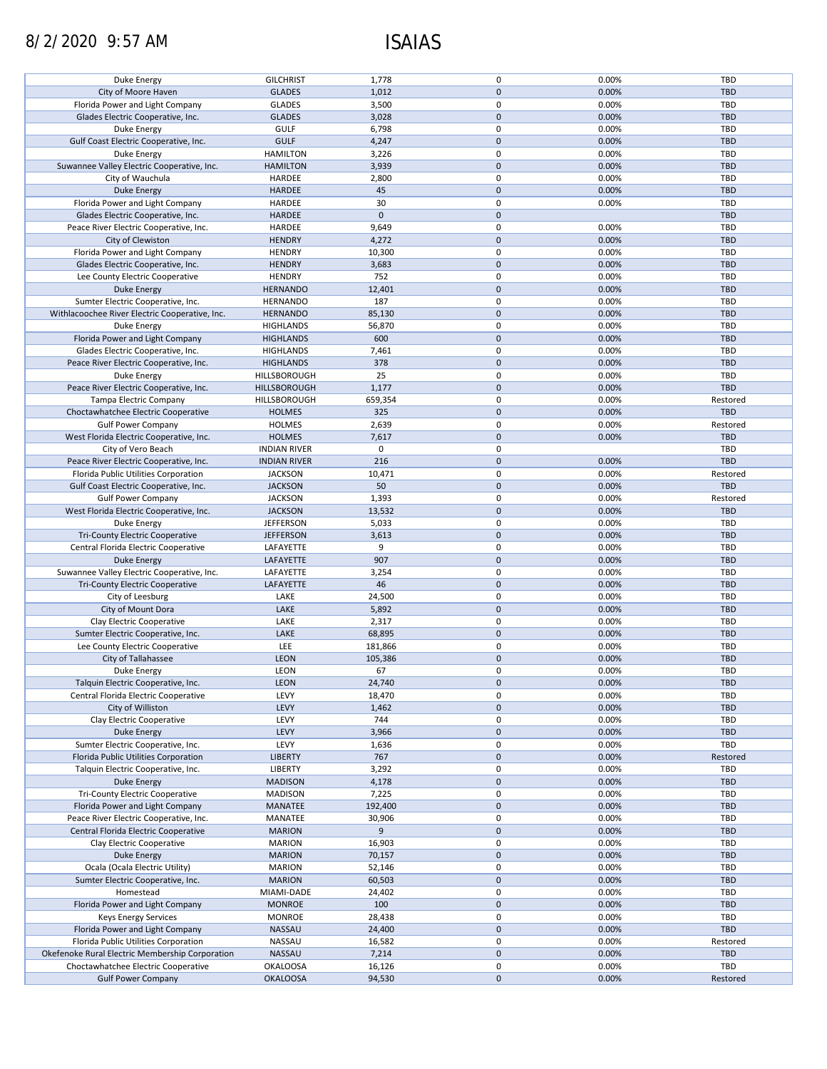# 8/2/2020 9:57 AM ISAIAS

| Duke Energy                                                      | <b>GILCHRIST</b>                   | 1,778            | $\mathbf 0$                | 0.00%          | <b>TBD</b>      |
|------------------------------------------------------------------|------------------------------------|------------------|----------------------------|----------------|-----------------|
| City of Moore Haven                                              | <b>GLADES</b>                      | 1,012            | $\mathbf{0}$               | 0.00%          | <b>TBD</b>      |
|                                                                  |                                    |                  |                            |                |                 |
| Florida Power and Light Company                                  | <b>GLADES</b>                      | 3,500            | $\mathbf 0$                | 0.00%          | TBD             |
| Glades Electric Cooperative, Inc.                                | <b>GLADES</b>                      | 3,028            | $\mathbf{0}$               | 0.00%          | <b>TBD</b>      |
| Duke Energy                                                      | <b>GULF</b>                        | 6,798            | $\mathbf 0$                | 0.00%          | TBD             |
| Gulf Coast Electric Cooperative, Inc.                            | <b>GULF</b>                        | 4,247            | $\mathbf 0$                | 0.00%          | <b>TBD</b>      |
|                                                                  |                                    |                  |                            |                |                 |
| Duke Energy                                                      | <b>HAMILTON</b>                    | 3,226            | $\mathbf 0$                | 0.00%          | TBD             |
| Suwannee Valley Electric Cooperative, Inc.                       | <b>HAMILTON</b>                    | 3,939            | $\mathbf 0$                | 0.00%          | <b>TBD</b>      |
| City of Wauchula                                                 | HARDEE                             | 2,800            | $\mathbf 0$                | 0.00%          | <b>TBD</b>      |
| <b>Duke Energy</b>                                               | <b>HARDEE</b>                      | 45               | $\mathbf 0$                | 0.00%          | <b>TBD</b>      |
|                                                                  |                                    |                  |                            |                |                 |
| Florida Power and Light Company                                  | HARDEE                             | 30               | $\mathbf 0$                | 0.00%          | TBD             |
| Glades Electric Cooperative, Inc.                                | <b>HARDEE</b>                      | $\pmb{0}$        | $\mathbf 0$                |                | <b>TBD</b>      |
| Peace River Electric Cooperative, Inc.                           | HARDEE                             | 9,649            | $\mathbf 0$                | 0.00%          | TBD             |
| City of Clewiston                                                | <b>HENDRY</b>                      | 4,272            | $\mathbf 0$                | 0.00%          | <b>TBD</b>      |
|                                                                  |                                    |                  |                            |                |                 |
| Florida Power and Light Company                                  | <b>HENDRY</b>                      | 10,300           | $\mathbf 0$                | 0.00%          | TBD             |
| Glades Electric Cooperative, Inc.                                | <b>HENDRY</b>                      | 3,683            | $\mathbf 0$                | 0.00%          | <b>TBD</b>      |
| Lee County Electric Cooperative                                  | <b>HENDRY</b>                      | 752              | $\mathbf 0$                | 0.00%          | TBD             |
| <b>Duke Energy</b>                                               | <b>HERNANDO</b>                    | 12,401           | $\mathbf 0$                | 0.00%          | <b>TBD</b>      |
|                                                                  |                                    |                  |                            |                |                 |
| Sumter Electric Cooperative, Inc.                                | <b>HERNANDO</b>                    | 187              | $\mathbf 0$                | 0.00%          | TBD             |
| Withlacoochee River Electric Cooperative, Inc.                   | <b>HERNANDO</b>                    | 85,130           | $\mathbf 0$                | 0.00%          | <b>TBD</b>      |
| Duke Energy                                                      | <b>HIGHLANDS</b>                   | 56,870           | $\mathbf 0$                | 0.00%          | <b>TBD</b>      |
| Florida Power and Light Company                                  |                                    |                  | $\mathbf 0$                | 0.00%          | <b>TBD</b>      |
|                                                                  | <b>HIGHLANDS</b>                   | 600              |                            |                |                 |
| Glades Electric Cooperative, Inc.                                | <b>HIGHLANDS</b>                   | 7,461            | $\mathbf 0$                | 0.00%          | TBD             |
| Peace River Electric Cooperative, Inc.                           | <b>HIGHLANDS</b>                   | 378              | $\mathbf 0$                | 0.00%          | <b>TBD</b>      |
| Duke Energy                                                      | HILLSBOROUGH                       | 25               | $\mathbf 0$                | 0.00%          | TBD             |
| Peace River Electric Cooperative, Inc.                           | HILLSBOROUGH                       | 1,177            | $\mathbf 0$                | 0.00%          | <b>TBD</b>      |
|                                                                  |                                    |                  |                            |                |                 |
| Tampa Electric Company                                           | HILLSBOROUGH                       | 659,354          | $\mathbf 0$                | 0.00%          | Restored        |
| Choctawhatchee Electric Cooperative                              | <b>HOLMES</b>                      | 325              | $\mathbf 0$                | 0.00%          | <b>TBD</b>      |
| <b>Gulf Power Company</b>                                        | <b>HOLMES</b>                      | 2,639            | $\mathbf 0$                | 0.00%          | Restored        |
| West Florida Electric Cooperative, Inc.                          | <b>HOLMES</b>                      | 7,617            | $\mathbf 0$                | 0.00%          | <b>TBD</b>      |
|                                                                  |                                    |                  |                            |                |                 |
| City of Vero Beach                                               | <b>INDIAN RIVER</b>                | 0                | $\mathbf 0$                |                | TBD             |
| Peace River Electric Cooperative, Inc.                           | <b>INDIAN RIVER</b>                | 216              | $\mathbf 0$                | 0.00%          | <b>TBD</b>      |
| Florida Public Utilities Corporation                             | <b>JACKSON</b>                     | 10,471           | $\mathbf 0$                | 0.00%          | Restored        |
| Gulf Coast Electric Cooperative, Inc.                            | <b>JACKSON</b>                     | 50               | $\mathbf 0$                | 0.00%          | <b>TBD</b>      |
|                                                                  |                                    |                  |                            |                |                 |
| <b>Gulf Power Company</b>                                        | <b>JACKSON</b>                     | 1,393            | $\mathbf 0$                | 0.00%          | Restored        |
| West Florida Electric Cooperative, Inc.                          | <b>JACKSON</b>                     | 13,532           | $\mathbf 0$                | 0.00%          | <b>TBD</b>      |
| Duke Energy                                                      | <b>JEFFERSON</b>                   | 5,033            | $\mathbf 0$                | 0.00%          | TBD             |
| Tri-County Electric Cooperative                                  | <b>JEFFERSON</b>                   | 3,613            | $\mathbf 0$                | 0.00%          | <b>TBD</b>      |
| Central Florida Electric Cooperative                             | LAFAYETTE                          | 9                | $\mathbf 0$                | 0.00%          | <b>TBD</b>      |
|                                                                  |                                    |                  |                            |                |                 |
| Duke Energy                                                      | LAFAYETTE                          | 907              | $\mathbf 0$                | 0.00%          | <b>TBD</b>      |
| Suwannee Valley Electric Cooperative, Inc.                       | LAFAYETTE                          | 3,254            | $\mathbf 0$                | 0.00%          | <b>TBD</b>      |
| <b>Tri-County Electric Cooperative</b>                           | LAFAYETTE                          | 46               | $\mathbf 0$                | 0.00%          | <b>TBD</b>      |
| City of Leesburg                                                 | LAKE                               | 24,500           | $\mathbf 0$                | 0.00%          | <b>TBD</b>      |
| City of Mount Dora                                               |                                    |                  | $\mathbf 0$                |                |                 |
|                                                                  | LAKE                               | 5,892            |                            | 0.00%          | <b>TBD</b>      |
| Clay Electric Cooperative                                        | LAKE                               | 2,317            | $\mathbf 0$                | 0.00%          | <b>TBD</b>      |
| Sumter Electric Cooperative, Inc.                                | LAKE                               | 68,895           | $\mathbf 0$                | 0.00%          | <b>TBD</b>      |
| Lee County Electric Cooperative                                  | LEE                                | 181,866          | $\mathbf 0$                | 0.00%          | <b>TBD</b>      |
|                                                                  |                                    |                  |                            |                |                 |
| City of Tallahassee                                              | <b>LEON</b>                        | 105,386          | $\pmb{0}$                  | 0.00%          | <b>TBD</b>      |
| Duke Energy                                                      | <b>LEON</b>                        | 67               | 0                          | 0.00%          | <b>TBD</b>      |
| Talquin Electric Cooperative, Inc.                               | LEON                               | 24,740           | $\mathbf 0$                | 0.00%          | TBD             |
| Central Florida Electric Cooperative                             | LEVY                               | 18,470           | $\mathbf 0$                | 0.00%          | TBD             |
|                                                                  |                                    |                  |                            |                |                 |
| City of Williston                                                | <b>LEVY</b>                        | 1,462            | $\mathbf 0$                | 0.00%          | <b>TBD</b>      |
| Clay Electric Cooperative                                        | LEVY                               | 744              | $\mathbf 0$                | 0.00%          | TBD             |
| Duke Energy                                                      | LEVY                               | 3,966            | $\mathbf 0$                | 0.00%          | TBD             |
| Sumter Electric Cooperative, Inc.                                | LEVY                               | 1,636            | $\mathbf 0$                | 0.00%          | TBD             |
|                                                                  |                                    |                  |                            |                |                 |
| Florida Public Utilities Corporation                             | <b>LIBERTY</b>                     | 767              | $\pmb{0}$                  | 0.00%          | Restored        |
| Talquin Electric Cooperative, Inc.                               | LIBERTY                            | 3,292            | $\mathbf 0$                | 0.00%          | TBD             |
| Duke Energy                                                      | <b>MADISON</b>                     | 4,178            | $\mathbf 0$                | 0.00%          | <b>TBD</b>      |
| Tri-County Electric Cooperative                                  | <b>MADISON</b>                     | 7,225            | 0                          | 0.00%          | <b>TBD</b>      |
| Florida Power and Light Company                                  | MANATEE                            | 192,400          | $\mathbf 0$                | 0.00%          | <b>TBD</b>      |
|                                                                  |                                    |                  |                            |                |                 |
| Peace River Electric Cooperative, Inc.                           | MANATEE                            | 30,906           | $\mathbf 0$                | 0.00%          | TBD             |
| Central Florida Electric Cooperative                             | <b>MARION</b>                      | 9                | $\mathbf 0$                | 0.00%          | <b>TBD</b>      |
| Clay Electric Cooperative                                        | <b>MARION</b>                      | 16,903           | 0                          | 0.00%          | TBD             |
| Duke Energy                                                      | <b>MARION</b>                      | 70,157           | $\mathbf 0$                | 0.00%          | <b>TBD</b>      |
|                                                                  |                                    |                  |                            |                |                 |
| Ocala (Ocala Electric Utility)                                   | <b>MARION</b>                      | 52,146           | 0                          | 0.00%          | TBD             |
| Sumter Electric Cooperative, Inc.                                | <b>MARION</b>                      | 60,503           | $\mathbf 0$                | 0.00%          | <b>TBD</b>      |
| Homestead                                                        | MIAMI-DADE                         | 24,402           | 0                          | 0.00%          | <b>TBD</b>      |
| Florida Power and Light Company                                  | <b>MONROE</b>                      | 100              | $\mathbf 0$                | 0.00%          | <b>TBD</b>      |
|                                                                  | <b>MONROE</b>                      | 28,438           | $\mathbf 0$                | 0.00%          | TBD             |
| Keys Energy Services                                             |                                    |                  |                            |                |                 |
| Florida Power and Light Company                                  | NASSAU                             | 24,400           | $\mathbf 0$                | 0.00%          | <b>TBD</b>      |
| Florida Public Utilities Corporation                             |                                    |                  |                            |                |                 |
|                                                                  | NASSAU                             | 16,582           | $\mathbf 0$                | 0.00%          | Restored        |
| Okefenoke Rural Electric Membership Corporation                  | NASSAU                             | 7,214            | $\pmb{0}$                  | 0.00%          | <b>TBD</b>      |
|                                                                  |                                    |                  |                            |                |                 |
| Choctawhatchee Electric Cooperative<br><b>Gulf Power Company</b> | <b>OKALOOSA</b><br><b>OKALOOSA</b> | 16,126<br>94,530 | $\mathbf 0$<br>$\mathbf 0$ | 0.00%<br>0.00% | TBD<br>Restored |